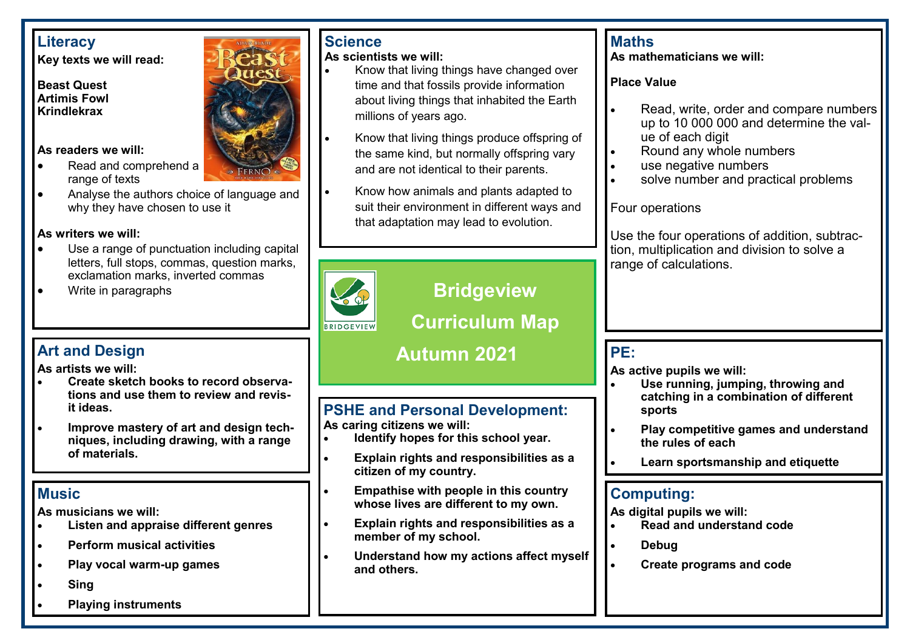### **Literacy**

**Key texts we will read:**

#### **Beast Quest Artimis Fowl Krindlekrax**

#### **As readers we will:**

- Read and comprehend a range of texts
- Analyse the authors choice of language and why they have chosen to use it

### **As writers we will:**

- Use a range of punctuation including capital letters, full stops, commas, question marks, exclamation marks, inverted commas
- Write in paragraphs

## **Art and Design**

**As artists we will:**

- **Create sketch books to record observations and use them to review and revisit ideas.**
- **Improve mastery of art and design techniques, including drawing, with a range of materials.**

## **Music**

**As musicians we will:**

- **Listen and appraise different genres**
- **Perform musical activities**
- **Play vocal warm-up games**
- **Sing**
- **Playing instruments**



## **Science**

**As scientists we will:**

- Know that living things have changed over time and that fossils provide information about living things that inhabited the Earth millions of years ago.
- Know that living things produce offspring of the same kind, but normally offspring vary and are not identical to their parents.
- Know how animals and plants adapted to suit their environment in different ways and that adaptation may lead to evolution.



# **Bridgeview**

**Curriculum Map**

# **Autumn 2021**

## **PSHE and Personal Development:**

**As caring citizens we will:**

- **Identify hopes for this school year.**
- **Explain rights and responsibilities as a citizen of my country.**
- **Empathise with people in this country whose lives are different to my own.**
- **Explain rights and responsibilities as a member of my school.**
- **Understand how my actions affect myself and others.**

## **Maths**

**As mathematicians we will:**

**Place Value**

- Read, write, order and compare numbers up to 10 000 000 and determine the value of each digit
- Round any whole numbers
- use negative numbers
- solve number and practical problems

Four operations

Use the four operations of addition, subtraction, multiplication and division to solve a range of calculations.

### **PE:**

**As active pupils we will:**

- **Use running, jumping, throwing and catching in a combination of different sports**
- **Play competitive games and understand the rules of each**
- **Learn sportsmanship and etiquette**

### **Computing:**

**As digital pupils we will:**

- **Read and understand code**
- **Debug**
- **Create programs and code**